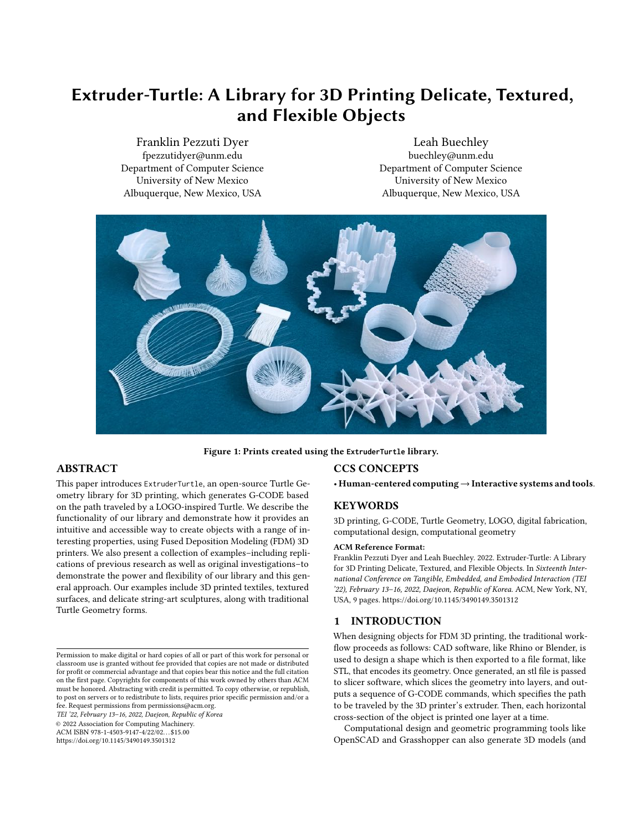# Extruder-Turtle: A Library for 3D Printing Delicate, Textured, and Flexible Objects

Franklin Pezzuti Dyer fpezzutidyer@unm.edu Department of Computer Science University of New Mexico Albuquerque, New Mexico, USA

Leah Buechley buechley@unm.edu Department of Computer Science University of New Mexico Albuquerque, New Mexico, USA



Figure 1: Prints created using the **ExtruderTurtle** library.

# ABSTRACT

This paper introduces ExtruderTurtle, an open-source Turtle Geometry library for 3D printing, which generates G-CODE based on the path traveled by a LOGO-inspired Turtle. We describe the functionality of our library and demonstrate how it provides an intuitive and accessible way to create objects with a range of interesting properties, using Fused Deposition Modeling (FDM) 3D printers. We also present a collection of examples–including replications of previous research as well as original investigations–to demonstrate the power and flexibility of our library and this general approach. Our examples include 3D printed textiles, textured surfaces, and delicate string-art sculptures, along with traditional Turtle Geometry forms.

TEI '22, February 13–16, 2022, Daejeon, Republic of Korea

© 2022 Association for Computing Machinery.

ACM ISBN 978-1-4503-9147-4/22/02. . . \$15.00

<https://doi.org/10.1145/3490149.3501312>

# CCS CONCEPTS

• Human-centered computing→Interactive systems and tools.

#### **KEYWORDS**

3D printing, G-CODE, Turtle Geometry, LOGO, digital fabrication, computational design, computational geometry

#### ACM Reference Format:

Franklin Pezzuti Dyer and Leah Buechley. 2022. Extruder-Turtle: A Library for 3D Printing Delicate, Textured, and Flexible Objects. In Sixteenth International Conference on Tangible, Embedded, and Embodied Interaction (TEI '22), February 13–16, 2022, Daejeon, Republic of Korea. ACM, New York, NY, USA, [9](#page-8-0) pages.<https://doi.org/10.1145/3490149.3501312>

# 1 INTRODUCTION

When designing objects for FDM 3D printing, the traditional workflow proceeds as follows: CAD software, like Rhino or Blender, is used to design a shape which is then exported to a file format, like STL, that encodes its geometry. Once generated, an stl file is passed to slicer software, which slices the geometry into layers, and outputs a sequence of G-CODE commands, which specifies the path to be traveled by the 3D printer's extruder. Then, each horizontal cross-section of the object is printed one layer at a time.

Computational design and geometric programming tools like OpenSCAD and Grasshopper can also generate 3D models (and

Permission to make digital or hard copies of all or part of this work for personal or classroom use is granted without fee provided that copies are not made or distributed for profit or commercial advantage and that copies bear this notice and the full citation on the first page. Copyrights for components of this work owned by others than ACM must be honored. Abstracting with credit is permitted. To copy otherwise, or republish, to post on servers or to redistribute to lists, requires prior specific permission and/or a fee. Request permissions from permissions@acm.org.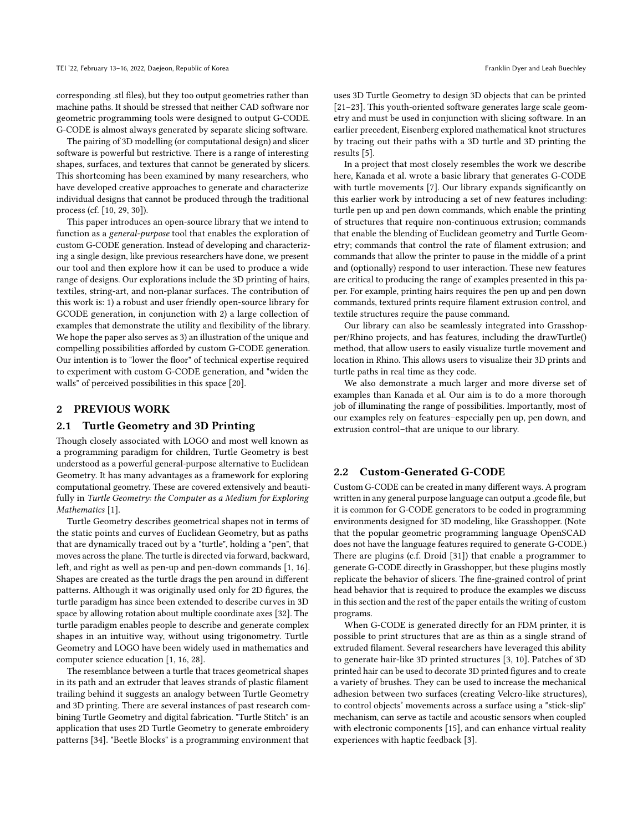corresponding .stl files), but they too output geometries rather than machine paths. It should be stressed that neither CAD software nor geometric programming tools were designed to output G-CODE. G-CODE is almost always generated by separate slicing software.

The pairing of 3D modelling (or computational design) and slicer software is powerful but restrictive. There is a range of interesting shapes, surfaces, and textures that cannot be generated by slicers. This shortcoming has been examined by many researchers, who have developed creative approaches to generate and characterize individual designs that cannot be produced through the traditional process (cf. [\[10,](#page-8-1) [29,](#page-8-2) [30\]](#page-8-3)).

This paper introduces an open-source library that we intend to function as a general-purpose tool that enables the exploration of custom G-CODE generation. Instead of developing and characterizing a single design, like previous researchers have done, we present our tool and then explore how it can be used to produce a wide range of designs. Our explorations include the 3D printing of hairs, textiles, string-art, and non-planar surfaces. The contribution of this work is: 1) a robust and user friendly open-source library for GCODE generation, in conjunction with 2) a large collection of examples that demonstrate the utility and flexibility of the library. We hope the paper also serves as 3) an illustration of the unique and compelling possibilities afforded by custom G-CODE generation. Our intention is to "lower the floor" of technical expertise required to experiment with custom G-CODE generation, and "widen the walls" of perceived possibilities in this space [\[20\]](#page-8-4).

### 2 PREVIOUS WORK

#### 2.1 Turtle Geometry and 3D Printing

Though closely associated with LOGO and most well known as a programming paradigm for children, Turtle Geometry is best understood as a powerful general-purpose alternative to Euclidean Geometry. It has many advantages as a framework for exploring computational geometry. These are covered extensively and beautifully in Turtle Geometry: the Computer as a Medium for Exploring Mathematics [\[1\]](#page-7-0).

Turtle Geometry describes geometrical shapes not in terms of the static points and curves of Euclidean Geometry, but as paths that are dynamically traced out by a "turtle", holding a "pen", that moves across the plane. The turtle is directed via forward, backward, left, and right as well as pen-up and pen-down commands [\[1,](#page-7-0) [16\]](#page-8-5). Shapes are created as the turtle drags the pen around in different patterns. Although it was originally used only for 2D figures, the turtle paradigm has since been extended to describe curves in 3D space by allowing rotation about multiple coordinate axes [\[32\]](#page-8-6). The turtle paradigm enables people to describe and generate complex shapes in an intuitive way, without using trigonometry. Turtle Geometry and LOGO have been widely used in mathematics and computer science education [\[1,](#page-7-0) [16,](#page-8-5) [28\]](#page-8-7).

The resemblance between a turtle that traces geometrical shapes in its path and an extruder that leaves strands of plastic filament trailing behind it suggests an analogy between Turtle Geometry and 3D printing. There are several instances of past research combining Turtle Geometry and digital fabrication. "Turtle Stitch" is an application that uses 2D Turtle Geometry to generate embroidery patterns [\[34\]](#page-8-8). "Beetle Blocks" is a programming environment that

uses 3D Turtle Geometry to design 3D objects that can be printed [\[21](#page-8-9)[–23\]](#page-8-10). This youth-oriented software generates large scale geometry and must be used in conjunction with slicing software. In an earlier precedent, Eisenberg explored mathematical knot structures by tracing out their paths with a 3D turtle and 3D printing the results [\[5\]](#page-8-11).

In a project that most closely resembles the work we describe here, Kanada et al. wrote a basic library that generates G-CODE with turtle movements [\[7\]](#page-8-12). Our library expands significantly on this earlier work by introducing a set of new features including: turtle pen up and pen down commands, which enable the printing of structures that require non-continuous extrusion; commands that enable the blending of Euclidean geometry and Turtle Geometry; commands that control the rate of filament extrusion; and commands that allow the printer to pause in the middle of a print and (optionally) respond to user interaction. These new features are critical to producing the range of examples presented in this paper. For example, printing hairs requires the pen up and pen down commands, textured prints require filament extrusion control, and textile structures require the pause command.

Our library can also be seamlessly integrated into Grasshopper/Rhino projects, and has features, including the drawTurtle() method, that allow users to easily visualize turtle movement and location in Rhino. This allows users to visualize their 3D prints and turtle paths in real time as they code.

We also demonstrate a much larger and more diverse set of examples than Kanada et al. Our aim is to do a more thorough job of illuminating the range of possibilities. Importantly, most of our examples rely on features–especially pen up, pen down, and extrusion control–that are unique to our library.

## 2.2 Custom-Generated G-CODE

Custom G-CODE can be created in many different ways. A program written in any general purpose language can output a .gcode file, but it is common for G-CODE generators to be coded in programming environments designed for 3D modeling, like Grasshopper. (Note that the popular geometric programming language OpenSCAD does not have the language features required to generate G-CODE.) There are plugins (c.f. Droid [\[31\]](#page-8-13)) that enable a programmer to generate G-CODE directly in Grasshopper, but these plugins mostly replicate the behavior of slicers. The fine-grained control of print head behavior that is required to produce the examples we discuss in this section and the rest of the paper entails the writing of custom programs.

When G-CODE is generated directly for an FDM printer, it is possible to print structures that are as thin as a single strand of extruded filament. Several researchers have leveraged this ability to generate hair-like 3D printed structures [\[3,](#page-7-1) [10\]](#page-8-1). Patches of 3D printed hair can be used to decorate 3D printed figures and to create a variety of brushes. They can be used to increase the mechanical adhesion between two surfaces (creating Velcro-like structures), to control objects' movements across a surface using a "stick-slip" mechanism, can serve as tactile and acoustic sensors when coupled with electronic components [\[15\]](#page-8-14), and can enhance virtual reality experiences with haptic feedback [\[3\]](#page-7-1).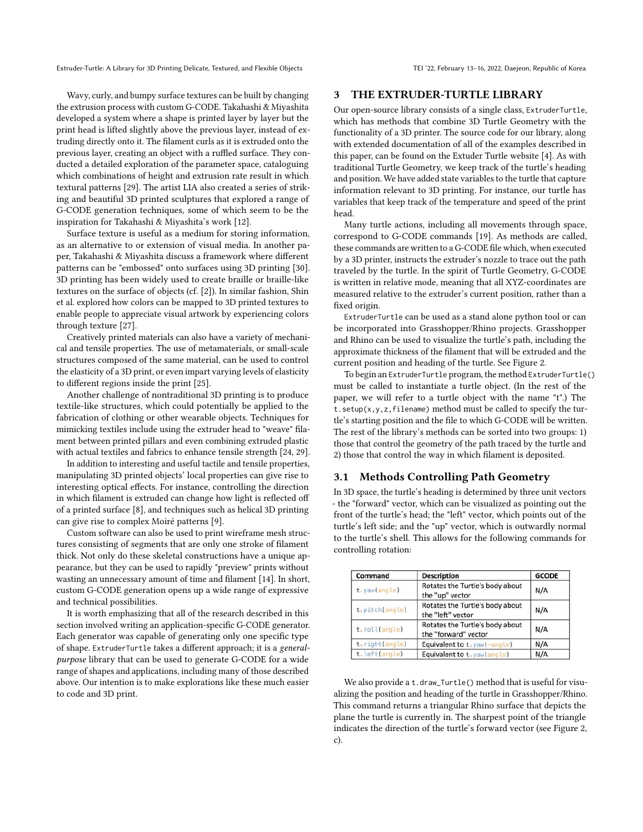Wavy, curly, and bumpy surface textures can be built by changing the extrusion process with custom G-CODE. Takahashi & Miyashita developed a system where a shape is printed layer by layer but the print head is lifted slightly above the previous layer, instead of extruding directly onto it. The filament curls as it is extruded onto the previous layer, creating an object with a ruffled surface. They conducted a detailed exploration of the parameter space, cataloguing which combinations of height and extrusion rate result in which textural patterns [\[29\]](#page-8-2). The artist LIA also created a series of striking and beautiful 3D printed sculptures that explored a range of G-CODE generation techniques, some of which seem to be the inspiration for Takahashi & Miyashita's work [\[12\]](#page-8-15).

Surface texture is useful as a medium for storing information, as an alternative to or extension of visual media. In another paper, Takahashi & Miyashita discuss a framework where different patterns can be "embossed" onto surfaces using 3D printing [\[30\]](#page-8-3). 3D printing has been widely used to create braille or braille-like textures on the surface of objects (cf. [\[2\]](#page-7-2)). In similar fashion, Shin et al. explored how colors can be mapped to 3D printed textures to enable people to appreciate visual artwork by experiencing colors through texture [\[27\]](#page-8-16).

Creatively printed materials can also have a variety of mechanical and tensile properties. The use of metamaterials, or small-scale structures composed of the same material, can be used to control the elasticity of a 3D print, or even impart varying levels of elasticity to different regions inside the print [\[25\]](#page-8-17).

Another challenge of nontraditional 3D printing is to produce textile-like structures, which could potentially be applied to the fabrication of clothing or other wearable objects. Techniques for mimicking textiles include using the extruder head to "weave" filament between printed pillars and even combining extruded plastic with actual textiles and fabrics to enhance tensile strength [\[24,](#page-8-18) [29\]](#page-8-2).

In addition to interesting and useful tactile and tensile properties, manipulating 3D printed objects' local properties can give rise to interesting optical effects. For instance, controlling the direction in which filament is extruded can change how light is reflected off of a printed surface [\[8\]](#page-8-19), and techniques such as helical 3D printing can give rise to complex Moiré patterns [\[9\]](#page-8-20).

Custom software can also be used to print wireframe mesh structures consisting of segments that are only one stroke of filament thick. Not only do these skeletal constructions have a unique appearance, but they can be used to rapidly "preview" prints without wasting an unnecessary amount of time and filament [\[14\]](#page-8-21). In short, custom G-CODE generation opens up a wide range of expressive and technical possibilities.

It is worth emphasizing that all of the research described in this section involved writing an application-specific G-CODE generator. Each generator was capable of generating only one specific type of shape. ExtruderTurtle takes a different approach; it is a generalpurpose library that can be used to generate G-CODE for a wide range of shapes and applications, including many of those described above. Our intention is to make explorations like these much easier to code and 3D print.

#### 3 THE EXTRUDER-TURTLE LIBRARY

Our open-source library consists of a single class, ExtruderTurtle, which has methods that combine 3D Turtle Geometry with the functionality of a 3D printer. The source code for our library, along with extended documentation of all of the examples described in this paper, can be found on the Extuder Turtle website [\[4\]](#page-7-3). As with traditional Turtle Geometry, we keep track of the turtle's heading and position. We have added state variables to the turtle that capture information relevant to 3D printing. For instance, our turtle has variables that keep track of the temperature and speed of the print head.

Many turtle actions, including all movements through space, correspond to G-CODE commands [\[19\]](#page-8-22). As methods are called, these commands are written to a G-CODE file which, when executed by a 3D printer, instructs the extruder's nozzle to trace out the path traveled by the turtle. In the spirit of Turtle Geometry, G-CODE is written in relative mode, meaning that all XYZ-coordinates are measured relative to the extruder's current position, rather than a fixed origin.

ExtruderTurtle can be used as a stand alone python tool or can be incorporated into Grasshopper/Rhino projects. Grasshopper and Rhino can be used to visualize the turtle's path, including the approximate thickness of the filament that will be extruded and the current position and heading of the turtle. See Figure [2.](#page-3-0)

To begin an ExtruderTurtle program, the method ExtruderTurtle() must be called to instantiate a turtle object. (In the rest of the paper, we will refer to a turtle object with the name "t".) The t.setup(x,y,z,filename) method must be called to specify the turtle's starting position and the file to which G-CODE will be written. The rest of the library's methods can be sorted into two groups: 1) those that control the geometry of the path traced by the turtle and 2) those that control the way in which filament is deposited.

# 3.1 Methods Controlling Path Geometry

In 3D space, the turtle's heading is determined by three unit vectors - the "forward" vector, which can be visualized as pointing out the front of the turtle's head; the "left" vector, which points out of the turtle's left side; and the "up" vector, which is outwardly normal to the turtle's shell. This allows for the following commands for controlling rotation:

| Command        | <b>Description</b>                                      | <b>GCODE</b> |
|----------------|---------------------------------------------------------|--------------|
| t.yaw(angle)   | Rotates the Turtle's body about<br>the "up" vector      | N/A          |
| t.pitch(angle) | Rotates the Turtle's body about<br>the "left" vector    | N/A          |
| t.roll(angle)  | Rotates the Turtle's body about<br>the "forward" vector | N/A          |
| t.right(angle) | Equivalent to t. yaw(-angle)                            | N/A          |
| t.left(angle)  | Equivalent to t. yaw(angle)                             | N/A          |

We also provide a t.draw\_Turtle() method that is useful for visualizing the position and heading of the turtle in Grasshopper/Rhino. This command returns a triangular Rhino surface that depicts the plane the turtle is currently in. The sharpest point of the triangle indicates the direction of the turtle's forward vector (see Figure [2,](#page-3-0) c).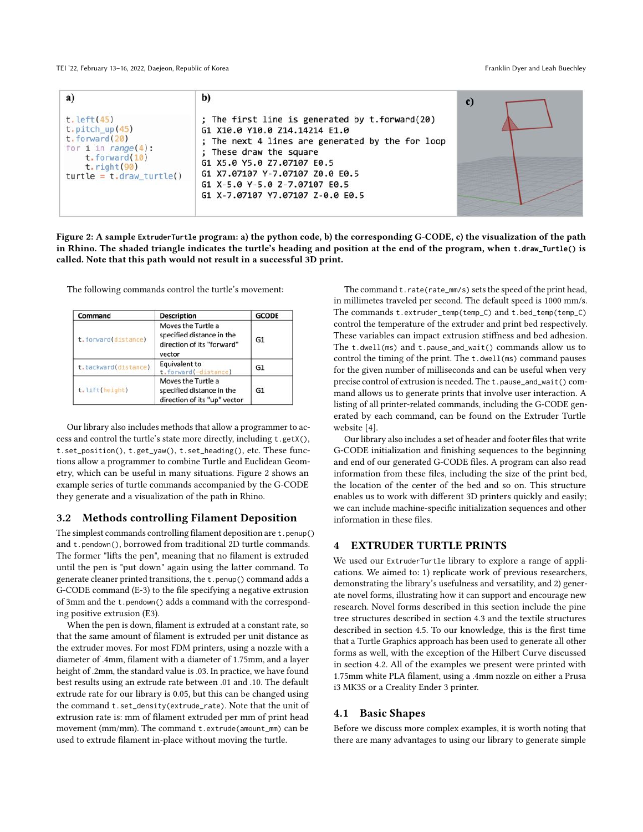TEI '22, February 13-16, 2022, Daejeon, Republic of Korea Franklin Dyer and Leah Buechley

<span id="page-3-0"></span>

| a)                                                                                                                                                        | b)                                                                                                                                                                                                                                                                                                 | $\mathbf{c}$ |
|-----------------------------------------------------------------------------------------------------------------------------------------------------------|----------------------------------------------------------------------------------------------------------------------------------------------------------------------------------------------------------------------------------------------------------------------------------------------------|--------------|
| $t.$ left $(45)$<br>$t$ . pitch up $(45)$<br>$t.$ forward $(20)$<br>for i in $range(4)$ :<br>t. forward(10)<br>t. right(90)<br>$turtle = t.draw$ turtle() | ; The first line is generated by t.forward(20)<br>G1 X10.0 Y10.0 Z14.14214 E1.0<br>; The next 4 lines are generated by the for loop<br>These draw the square<br>G1 X5.0 Y5.0 Z7.07107 E0.5<br>G1 X7.07107 Y-7.07107 Z0.0 E0.5<br>G1 X-5.0 Y-5.0 Z-7.07107 E0.5<br>G1 X-7.07107 Y7.07107 Z-0.0 E0.5 |              |

Figure 2: A sample **ExtruderTurtle** program: a) the python code, b) the corresponding G-CODE, c) the visualization of the path in Rhino. The shaded triangle indicates the turtle's heading and position at the end of the program, when **t.draw\_Turtle()** is called. Note that this path would not result in a successful 3D print.

The following commands control the turtle's movement:

| Command              | <b>Description</b>                                                                      | <b>GCODE</b>   |
|----------------------|-----------------------------------------------------------------------------------------|----------------|
| t.forward(distance)  | Moves the Turtle a<br>specified distance in the<br>direction of its "forward"<br>vector | G <sub>1</sub> |
| t.backward(distance) | Equivalent to<br>t.forward(-distance)                                                   | G <sub>1</sub> |
| t.lift(height)       | Moves the Turtle a<br>specified distance in the<br>direction of its "up" vector         | G <sub>1</sub> |

Our library also includes methods that allow a programmer to access and control the turtle's state more directly, including t.getX(), t.set\_position(), t.get\_yaw(), t.set\_heading(), etc. These functions allow a programmer to combine Turtle and Euclidean Geometry, which can be useful in many situations. Figure [2](#page-3-0) shows an example series of turtle commands accompanied by the G-CODE they generate and a visualization of the path in Rhino.

#### 3.2 Methods controlling Filament Deposition

The simplest commands controlling filament deposition are t.penup() and t.pendown(), borrowed from traditional 2D turtle commands. The former "lifts the pen", meaning that no filament is extruded until the pen is "put down" again using the latter command. To generate cleaner printed transitions, the t.penup() command adds a G-CODE command (E-3) to the file specifying a negative extrusion of 3mm and the t.pendown() adds a command with the corresponding positive extrusion (E3).

When the pen is down, filament is extruded at a constant rate, so that the same amount of filament is extruded per unit distance as the extruder moves. For most FDM printers, using a nozzle with a diameter of .4mm, filament with a diameter of 1.75mm, and a layer height of .2mm, the standard value is .03. In practice, we have found best results using an extrude rate between .01 and .10. The default extrude rate for our library is 0.05, but this can be changed using the command t.set\_density(extrude\_rate). Note that the unit of extrusion rate is: mm of filament extruded per mm of print head movement (mm/mm). The command t.extrude(amount\_mm) can be used to extrude filament in-place without moving the turtle.

The command t.rate(rate\_mm/s) sets the speed of the print head, in millimetes traveled per second. The default speed is 1000 mm/s. The commands t.extruder\_temp(temp\_C) and t.bed\_temp(temp\_C) control the temperature of the extruder and print bed respectively. These variables can impact extrusion stiffness and bed adhesion. The t.dwell(ms) and t.pause\_and\_wait() commands allow us to control the timing of the print. The t.dwell(ms) command pauses for the given number of milliseconds and can be useful when very precise control of extrusion is needed. The t.pause\_and\_wait() command allows us to generate prints that involve user interaction. A listing of all printer-related commands, including the G-CODE generated by each command, can be found on the Extruder Turtle website [\[4\]](#page-7-3).

Our library also includes a set of header and footer files that write G-CODE initialization and finishing sequences to the beginning and end of our generated G-CODE files. A program can also read information from these files, including the size of the print bed, the location of the center of the bed and so on. This structure enables us to work with different 3D printers quickly and easily; we can include machine-specific initialization sequences and other information in these files.

# 4 EXTRUDER TURTLE PRINTS

We used our ExtruderTurtle library to explore a range of applications. We aimed to: 1) replicate work of previous researchers, demonstrating the library's usefulness and versatility, and 2) generate novel forms, illustrating how it can support and encourage new research. Novel forms described in this section include the pine tree structures described in section 4.3 and the textile structures described in section 4.5. To our knowledge, this is the first time that a Turtle Graphics approach has been used to generate all other forms as well, with the exception of the Hilbert Curve discussed in section 4.2. All of the examples we present were printed with 1.75mm white PLA filament, using a .4mm nozzle on either a Prusa i3 MK3S or a Creality Ender 3 printer.

### 4.1 Basic Shapes

Before we discuss more complex examples, it is worth noting that there are many advantages to using our library to generate simple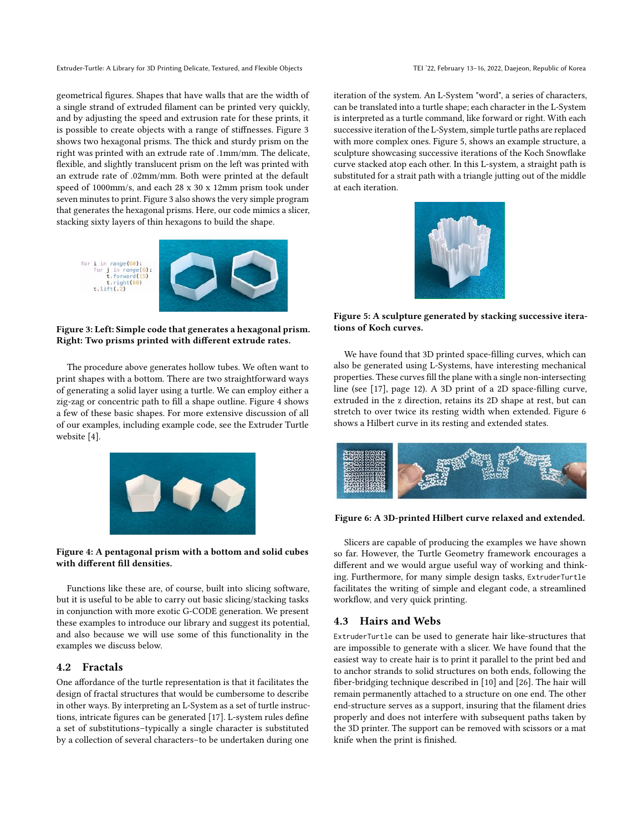geometrical figures. Shapes that have walls that are the width of a single strand of extruded filament can be printed very quickly, and by adjusting the speed and extrusion rate for these prints, it is possible to create objects with a range of stiffnesses. Figure [3](#page-4-0) shows two hexagonal prisms. The thick and sturdy prism on the right was printed with an extrude rate of .1mm/mm. The delicate, flexible, and slightly translucent prism on the left was printed with an extrude rate of .02mm/mm. Both were printed at the default speed of 1000mm/s, and each 28 x 30 x 12mm prism took under seven minutes to print. Figure [3](#page-4-0) also shows the very simple program that generates the hexagonal prisms. Here, our code mimics a slicer, stacking sixty layers of thin hexagons to build the shape.

<span id="page-4-0"></span>

Figure 3: Left: Simple code that generates a hexagonal prism. Right: Two prisms printed with different extrude rates.

The procedure above generates hollow tubes. We often want to print shapes with a bottom. There are two straightforward ways of generating a solid layer using a turtle. We can employ either a zig-zag or concentric path to fill a shape outline. Figure [4](#page-4-1) shows a few of these basic shapes. For more extensive discussion of all of our examples, including example code, see the Extruder Turtle website [\[4\]](#page-7-3).

<span id="page-4-1"></span>

#### Figure 4: A pentagonal prism with a bottom and solid cubes with different fill densities.

Functions like these are, of course, built into slicing software, but it is useful to be able to carry out basic slicing/stacking tasks in conjunction with more exotic G-CODE generation. We present these examples to introduce our library and suggest its potential, and also because we will use some of this functionality in the examples we discuss below.

#### 4.2 Fractals

One affordance of the turtle representation is that it facilitates the design of fractal structures that would be cumbersome to describe in other ways. By interpreting an L-System as a set of turtle instructions, intricate figures can be generated [\[17\]](#page-8-23). L-system rules define a set of substitutions–typically a single character is substituted by a collection of several characters–to be undertaken during one

iteration of the system. An L-System "word", a series of characters, can be translated into a turtle shape; each character in the L-System is interpreted as a turtle command, like forward or right. With each successive iteration of the L-System, simple turtle paths are replaced with more complex ones. Figure [5,](#page-4-2) shows an example structure, a sculpture showcasing successive iterations of the Koch Snowflake curve stacked atop each other. In this L-system, a straight path is substituted for a strait path with a triangle jutting out of the middle at each iteration.

<span id="page-4-2"></span>

Figure 5: A sculpture generated by stacking successive iterations of Koch curves.

We have found that 3D printed space-filling curves, which can also be generated using L-Systems, have interesting mechanical properties. These curves fill the plane with a single non-intersecting line (see [\[17\]](#page-8-23), page 12). A 3D print of a 2D space-filling curve, extruded in the z direction, retains its 2D shape at rest, but can stretch to over twice its resting width when extended. Figure [6](#page-4-3) shows a Hilbert curve in its resting and extended states.

<span id="page-4-3"></span>

#### Figure 6: A 3D-printed Hilbert curve relaxed and extended.

Slicers are capable of producing the examples we have shown so far. However, the Turtle Geometry framework encourages a different and we would argue useful way of working and thinking. Furthermore, for many simple design tasks, ExtruderTurtle facilitates the writing of simple and elegant code, a streamlined workflow, and very quick printing.

### 4.3 Hairs and Webs

ExtruderTurtle can be used to generate hair like-structures that are impossible to generate with a slicer. We have found that the easiest way to create hair is to print it parallel to the print bed and to anchor strands to solid structures on both ends, following the fiber-bridging technique described in [\[10\]](#page-8-1) and [\[26\]](#page-8-24). The hair will remain permanently attached to a structure on one end. The other end-structure serves as a support, insuring that the filament dries properly and does not interfere with subsequent paths taken by the 3D printer. The support can be removed with scissors or a mat knife when the print is finished.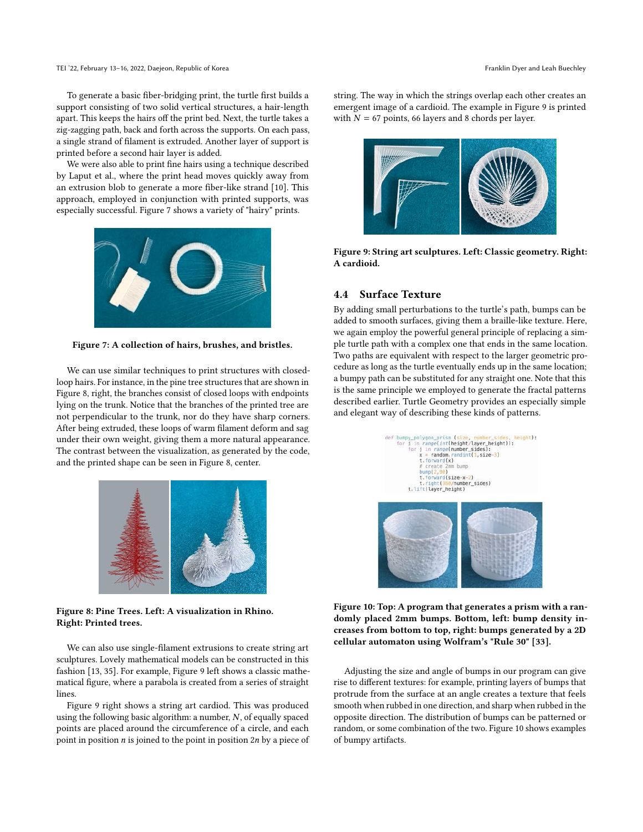To generate a basic fiber-bridging print, the turtle first builds a support consisting of two solid vertical structures, a hair-length apart. This keeps the hairs off the print bed. Next, the turtle takes a zig-zagging path, back and forth across the supports. On each pass, a single strand of filament is extruded. Another layer of support is printed before a second hair layer is added.

We were also able to print fine hairs using a technique described by Laput et al., where the print head moves quickly away from an extrusion blob to generate a more fiber-like strand [\[10\]](#page-8-1). This approach, employed in conjunction with printed supports, was especially successful. Figure [7](#page-5-0) shows a variety of "hairy" prints.

<span id="page-5-0"></span>

Figure 7: A collection of hairs, brushes, and bristles.

We can use similar techniques to print structures with closedloop hairs. For instance, in the pine tree structures that are shown in Figure [8,](#page-5-1) right, the branches consist of closed loops with endpoints lying on the trunk. Notice that the branches of the printed tree are not perpendicular to the trunk, nor do they have sharp corners. After being extruded, these loops of warm filament deform and sag under their own weight, giving them a more natural appearance. The contrast between the visualization, as generated by the code, and the printed shape can be seen in Figure [8,](#page-5-1) center.

<span id="page-5-1"></span>

#### Figure 8: Pine Trees. Left: A visualization in Rhino. Right: Printed trees.

We can also use single-filament extrusions to create string art sculptures. Lovely mathematical models can be constructed in this fashion [\[13,](#page-8-25) [35\]](#page-8-26). For example, Figure [9](#page-5-2) left shows a classic mathematical figure, where a parabola is created from a series of straight lines.

Figure [9](#page-5-2) right shows a string art cardiod. This was produced using the following basic algorithm: a number, N, of equally spaced points are placed around the circumference of a circle, and each point in position  $n$  is joined to the point in position  $2n$  by a piece of string. The way in which the strings overlap each other creates an emergent image of a cardioid. The example in Figure [9](#page-5-2) is printed with  $N = 67$  points, 66 layers and 8 chords per layer.

<span id="page-5-2"></span>

Figure 9: String art sculptures. Left: Classic geometry. Right: A cardioid.

# 4.4 Surface Texture

By adding small perturbations to the turtle's path, bumps can be added to smooth surfaces, giving them a braille-like texture. Here, we again employ the powerful general principle of replacing a simple turtle path with a complex one that ends in the same location. Two paths are equivalent with respect to the larger geometric procedure as long as the turtle eventually ends up in the same location; a bumpy path can be substituted for any straight one. Note that this is the same principle we employed to generate the fractal patterns described earlier. Turtle Geometry provides an especially simple and elegant way of describing these kinds of patterns.

<span id="page-5-3"></span>

Figure 10: Top: A program that generates a prism with a randomly placed 2mm bumps. Bottom, left: bump density increases from bottom to top, right: bumps generated by a 2D cellular automaton using Wolfram's "Rule 30" [\[33\]](#page-8-27).

Adjusting the size and angle of bumps in our program can give rise to different textures: for example, printing layers of bumps that protrude from the surface at an angle creates a texture that feels smooth when rubbed in one direction, and sharp when rubbed in the opposite direction. The distribution of bumps can be patterned or random, or some combination of the two. Figure [10](#page-5-3) shows examples of bumpy artifacts.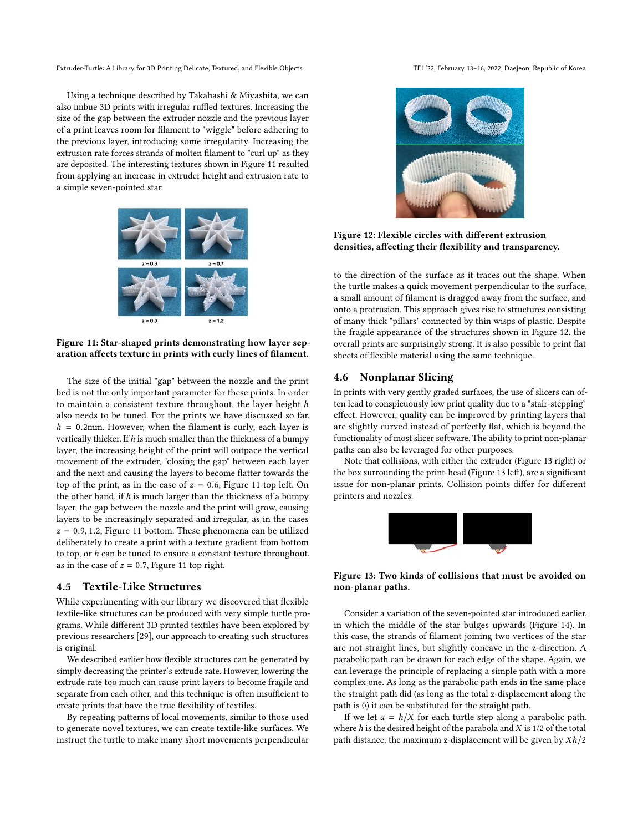Using a technique described by Takahashi & Miyashita, we can also imbue 3D prints with irregular ruffled textures. Increasing the size of the gap between the extruder nozzle and the previous layer of a print leaves room for filament to "wiggle" before adhering to the previous layer, introducing some irregularity. Increasing the extrusion rate forces strands of molten filament to "curl up" as they are deposited. The interesting textures shown in Figure [11](#page-6-0) resulted from applying an increase in extruder height and extrusion rate to a simple seven-pointed star.

<span id="page-6-0"></span>

Figure 11: Star-shaped prints demonstrating how layer separation affects texture in prints with curly lines of filament.

The size of the initial "gap" between the nozzle and the print bed is not the only important parameter for these prints. In order to maintain a consistent texture throughout, the layer height h also needs to be tuned. For the prints we have discussed so far,  $h = 0.2$ mm. However, when the filament is curly, each layer is vertically thicker. If  $h$  is much smaller than the thickness of a bumpy layer, the increasing height of the print will outpace the vertical movement of the extruder, "closing the gap" between each layer and the next and causing the layers to become flatter towards the top of the print, as in the case of  $z = 0.6$ , Figure [11](#page-6-0) top left. On the other hand, if  $h$  is much larger than the thickness of a bumpy layer, the gap between the nozzle and the print will grow, causing layers to be increasingly separated and irregular, as in the cases  $z = 0.9, 1.2$ , Figure [11](#page-6-0) bottom. These phenomena can be utilized deliberately to create a print with a texture gradient from bottom to top, or h can be tuned to ensure a constant texture throughout, as in the case of  $z = 0.7$ , Figure [11](#page-6-0) top right.

# 4.5 Textile-Like Structures

While experimenting with our library we discovered that flexible textile-like structures can be produced with very simple turtle programs. While different 3D printed textiles have been explored by previous researchers [\[29\]](#page-8-2), our approach to creating such structures is original.

We described earlier how flexible structures can be generated by simply decreasing the printer's extrude rate. However, lowering the extrude rate too much can cause print layers to become fragile and separate from each other, and this technique is often insufficient to create prints that have the true flexibility of textiles.

By repeating patterns of local movements, similar to those used to generate novel textures, we can create textile-like surfaces. We instruct the turtle to make many short movements perpendicular

<span id="page-6-1"></span>

### Figure 12: Flexible circles with different extrusion densities, affecting their flexibility and transparency.

to the direction of the surface as it traces out the shape. When the turtle makes a quick movement perpendicular to the surface, a small amount of filament is dragged away from the surface, and onto a protrusion. This approach gives rise to structures consisting of many thick "pillars" connected by thin wisps of plastic. Despite the fragile appearance of the structures shown in Figure [12,](#page-6-1) the overall prints are surprisingly strong. It is also possible to print flat sheets of flexible material using the same technique.

## 4.6 Nonplanar Slicing

In prints with very gently graded surfaces, the use of slicers can often lead to conspicuously low print quality due to a "stair-stepping" effect. However, quality can be improved by printing layers that are slightly curved instead of perfectly flat, which is beyond the functionality of most slicer software. The ability to print non-planar paths can also be leveraged for other purposes.

<span id="page-6-2"></span>Note that collisions, with either the extruder (Figure [13](#page-6-2) right) or the box surrounding the print-head (Figure [13](#page-6-2) left), are a significant issue for non-planar prints. Collision points differ for different printers and nozzles.



#### Figure 13: Two kinds of collisions that must be avoided on non-planar paths.

Consider a variation of the seven-pointed star introduced earlier, in which the middle of the star bulges upwards (Figure [14\)](#page-7-4). In this case, the strands of filament joining two vertices of the star are not straight lines, but slightly concave in the z-direction. A parabolic path can be drawn for each edge of the shape. Again, we can leverage the principle of replacing a simple path with a more complex one. As long as the parabolic path ends in the same place the straight path did (as long as the total z-displacement along the path is 0) it can be substituted for the straight path.

If we let  $a = h/X$  for each turtle step along a parabolic path, where  $h$  is the desired height of the parabola and  $X$  is  $1/2$  of the total path distance, the maximum z-displacement will be given by  $Xh/2$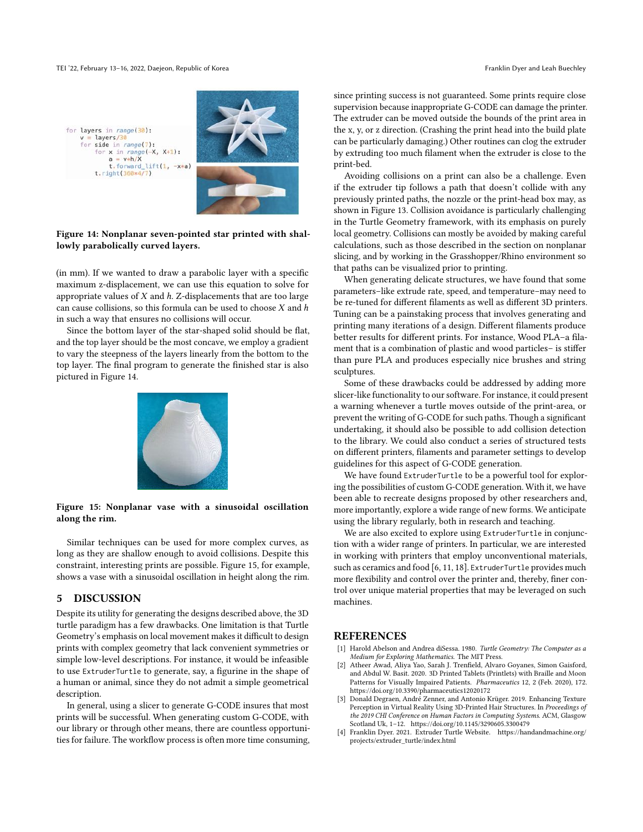for x in range(-X, X+1):<br>a =  $v*h/X$ t.forward\_lift(1,

 $t. right(360*4/7)$ 

<span id="page-7-4"></span>for layers in range(30):  $v = \text{lavers}/30$ for side in range(7):



#### Figure 14: Nonplanar seven-pointed star printed with shallowly parabolically curved layers.

 $-x*a$ 

(in mm). If we wanted to draw a parabolic layer with a specific maximum z-displacement, we can use this equation to solve for appropriate values of  $X$  and  $h$ . Z-displacements that are too large can cause collisions, so this formula can be used to choose  $X$  and  $h$ in such a way that ensures no collisions will occur.

<span id="page-7-5"></span>Since the bottom layer of the star-shaped solid should be flat, and the top layer should be the most concave, we employ a gradient to vary the steepness of the layers linearly from the bottom to the top layer. The final program to generate the finished star is also pictured in Figure [14.](#page-7-4)



#### Figure 15: Nonplanar vase with a sinusoidal oscillation along the rim.

Similar techniques can be used for more complex curves, as long as they are shallow enough to avoid collisions. Despite this constraint, interesting prints are possible. Figure [15,](#page-7-5) for example, shows a vase with a sinusoidal oscillation in height along the rim.

#### 5 DISCUSSION

Despite its utility for generating the designs described above, the 3D turtle paradigm has a few drawbacks. One limitation is that Turtle Geometry's emphasis on local movement makes it difficult to design prints with complex geometry that lack convenient symmetries or simple low-level descriptions. For instance, it would be infeasible to use ExtruderTurtle to generate, say, a figurine in the shape of a human or animal, since they do not admit a simple geometrical description.

In general, using a slicer to generate G-CODE insures that most prints will be successful. When generating custom G-CODE, with our library or through other means, there are countless opportunities for failure. The workflow process is often more time consuming, since printing success is not guaranteed. Some prints require close supervision because inappropriate G-CODE can damage the printer. The extruder can be moved outside the bounds of the print area in the x, y, or z direction. (Crashing the print head into the build plate can be particularly damaging.) Other routines can clog the extruder by extruding too much filament when the extruder is close to the print-bed.

Avoiding collisions on a print can also be a challenge. Even if the extruder tip follows a path that doesn't collide with any previously printed paths, the nozzle or the print-head box may, as shown in Figure [13.](#page-6-2) Collision avoidance is particularly challenging in the Turtle Geometry framework, with its emphasis on purely local geometry. Collisions can mostly be avoided by making careful calculations, such as those described in the section on nonplanar slicing, and by working in the Grasshopper/Rhino environment so that paths can be visualized prior to printing.

When generating delicate structures, we have found that some parameters–like extrude rate, speed, and temperature–may need to be re-tuned for different filaments as well as different 3D printers. Tuning can be a painstaking process that involves generating and printing many iterations of a design. Different filaments produce better results for different prints. For instance, Wood PLA–a filament that is a combination of plastic and wood particles– is stiffer than pure PLA and produces especially nice brushes and string sculptures.

Some of these drawbacks could be addressed by adding more slicer-like functionality to our software. For instance, it could present a warning whenever a turtle moves outside of the print-area, or prevent the writing of G-CODE for such paths. Though a significant undertaking, it should also be possible to add collision detection to the library. We could also conduct a series of structured tests on different printers, filaments and parameter settings to develop guidelines for this aspect of G-CODE generation.

We have found ExtruderTurtle to be a powerful tool for exploring the possibilities of custom G-CODE generation. With it, we have been able to recreate designs proposed by other researchers and, more importantly, explore a wide range of new forms. We anticipate using the library regularly, both in research and teaching.

We are also excited to explore using ExtruderTurtle in conjunction with a wider range of printers. In particular, we are interested in working with printers that employ unconventional materials, such as ceramics and food [\[6,](#page-8-28) [11,](#page-8-29) [18\]](#page-8-30). ExtruderTurtle provides much more flexibility and control over the printer and, thereby, finer control over unique material properties that may be leveraged on such machines.

# **REFERENCES**

- <span id="page-7-0"></span>[1] Harold Abelson and Andrea diSessa. 1980. Turtle Geometry: The Computer as a Medium for Exploring Mathematics. The MIT Press.
- <span id="page-7-2"></span>Atheer Awad, Aliya Yao, Sarah J. Trenfield, Alvaro Goyanes, Simon Gaisford, and Abdul W. Basit. 2020. 3D Printed Tablets (Printlets) with Braille and Moon Patterns for Visually Impaired Patients. Pharmaceutics 12, 2 (Feb. 2020), 172. <https://doi.org/10.3390/pharmaceutics12020172>
- <span id="page-7-1"></span>Donald Degraen, André Zenner, and Antonio Krüger. 2019. Enhancing Texture Perception in Virtual Reality Using 3D-Printed Hair Structures. In Proceedings of the 2019 CHI Conference on Human Factors in Computing Systems. ACM, Glasgow Scotland Uk, 1–12.<https://doi.org/10.1145/3290605.3300479>
- <span id="page-7-3"></span>[4] Franklin Dyer. 2021. Extruder Turtle Website. [https://handandmachine.org/](https://handandmachine.org/projects/extruder_turtle/index.html) [projects/extruder\\_turtle/index.html](https://handandmachine.org/projects/extruder_turtle/index.html)